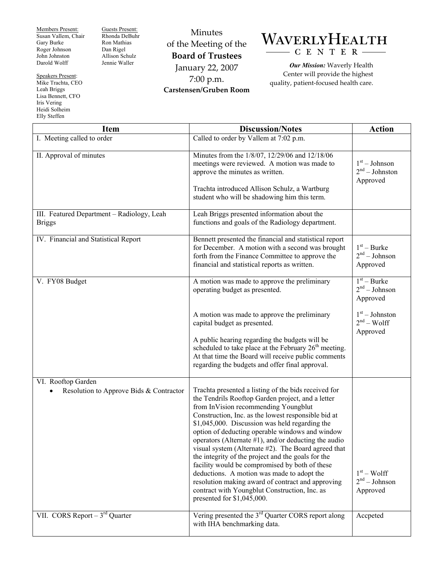Members Present: Susan Vallem, Chair Gary Burke Roger Johnson John Johnston Darold Wolff

Guests Present: Rhonda DeBuhr Ron Mathias Dan Rigel Allison Schulz Jennie Waller

Speakers Present: Mike Trachta, CEO Leah Briggs Lisa Bennett, CFO Iris Vering Heidi Solheim Elly Steffen

Minutes of the Meeting of the **Board of Trustees**  January 22, 2007 7:00 p.m. **Carstensen/Gruben Room** 



*Our Mission:* Waverly Health Center will provide the highest quality, patient-focused health care.

| <b>Item</b>                                                   | <b>Discussion/Notes</b>                                                                                                                                                                                                                                                                                                                                                                                                                                                                                                                                                                                                                                                                                                   | <b>Action</b>                                   |
|---------------------------------------------------------------|---------------------------------------------------------------------------------------------------------------------------------------------------------------------------------------------------------------------------------------------------------------------------------------------------------------------------------------------------------------------------------------------------------------------------------------------------------------------------------------------------------------------------------------------------------------------------------------------------------------------------------------------------------------------------------------------------------------------------|-------------------------------------------------|
| I. Meeting called to order                                    | Called to order by Vallem at 7:02 p.m.                                                                                                                                                                                                                                                                                                                                                                                                                                                                                                                                                                                                                                                                                    |                                                 |
| II. Approval of minutes                                       | Minutes from the 1/8/07, 12/29/06 and 12/18/06<br>meetings were reviewed. A motion was made to<br>approve the minutes as written.<br>Trachta introduced Allison Schulz, a Wartburg<br>student who will be shadowing him this term.                                                                                                                                                                                                                                                                                                                                                                                                                                                                                        | $1st - Johnson$<br>$2nd - Johnston$<br>Approved |
| III. Featured Department - Radiology, Leah<br><b>Briggs</b>   | Leah Briggs presented information about the<br>functions and goals of the Radiology department.                                                                                                                                                                                                                                                                                                                                                                                                                                                                                                                                                                                                                           |                                                 |
| IV. Financial and Statistical Report                          | Bennett presented the financial and statistical report<br>for December. A motion with a second was brought<br>forth from the Finance Committee to approve the<br>financial and statistical reports as written.                                                                                                                                                                                                                                                                                                                                                                                                                                                                                                            | $1st - Burke$<br>$2nd - Johnson$<br>Approved    |
| V. FY08 Budget                                                | A motion was made to approve the preliminary<br>operating budget as presented.                                                                                                                                                                                                                                                                                                                                                                                                                                                                                                                                                                                                                                            | $1st - Burke$<br>$2nd - Johnson$<br>Approved    |
|                                                               | A motion was made to approve the preliminary<br>capital budget as presented.<br>A public hearing regarding the budgets will be<br>scheduled to take place at the February 26 <sup>th</sup> meeting.<br>At that time the Board will receive public comments<br>regarding the budgets and offer final approval.                                                                                                                                                                                                                                                                                                                                                                                                             | $1st - Johnston$<br>$2nd - Wolf$<br>Approved    |
| VI. Rooftop Garden<br>Resolution to Approve Bids & Contractor | Trachta presented a listing of the bids received for<br>the Tendrils Rooftop Garden project, and a letter<br>from InVision recommending Youngblut<br>Construction, Inc. as the lowest responsible bid at<br>\$1,045,000. Discussion was held regarding the<br>option of deducting operable windows and window<br>operators (Alternate $#1$ ), and/or deducting the audio<br>visual system (Alternate #2). The Board agreed that<br>the integrity of the project and the goals for the<br>facility would be compromised by both of these<br>deductions. A motion was made to adopt the<br>resolution making award of contract and approving<br>contract with Youngblut Construction, Inc. as<br>presented for \$1,045,000. | $1st - Wolf$<br>$2nd - Johnson$<br>Approved     |
| VII. CORS Report $-3^{rd}$ Quarter                            | Vering presented the $3rd$ Quarter CORS report along<br>with IHA benchmarking data.                                                                                                                                                                                                                                                                                                                                                                                                                                                                                                                                                                                                                                       | Accpeted                                        |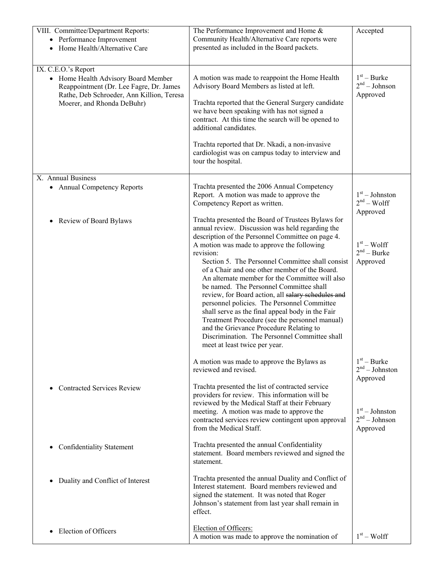| VIII. Committee/Department Reports:<br>• Performance Improvement<br>Home Health/Alternative Care<br>$\bullet$                                                                    | The Performance Improvement and Home &<br>Community Health/Alternative Care reports were<br>presented as included in the Board packets.                                                                                                                                                                                                                                                                                                                                                                                                                                                                                                                                                                                                                           | Accepted                                                |
|----------------------------------------------------------------------------------------------------------------------------------------------------------------------------------|-------------------------------------------------------------------------------------------------------------------------------------------------------------------------------------------------------------------------------------------------------------------------------------------------------------------------------------------------------------------------------------------------------------------------------------------------------------------------------------------------------------------------------------------------------------------------------------------------------------------------------------------------------------------------------------------------------------------------------------------------------------------|---------------------------------------------------------|
| IX. C.E.O.'s Report<br>• Home Health Advisory Board Member<br>Reappointment (Dr. Lee Fagre, Dr. James<br>Rathe, Deb Schroeder, Ann Killion, Teresa<br>Moerer, and Rhonda DeBuhr) | A motion was made to reappoint the Home Health<br>Advisory Board Members as listed at left.<br>Trachta reported that the General Surgery candidate<br>we have been speaking with has not signed a<br>contract. At this time the search will be opened to<br>additional candidates.<br>Trachta reported that Dr. Nkadi, a non-invasive<br>cardiologist was on campus today to interview and<br>tour the hospital.                                                                                                                                                                                                                                                                                                                                                  | $1st - Burke$<br>$2nd - Johnson$<br>Approved            |
| X. Annual Business                                                                                                                                                               |                                                                                                                                                                                                                                                                                                                                                                                                                                                                                                                                                                                                                                                                                                                                                                   |                                                         |
| • Annual Competency Reports                                                                                                                                                      | Trachta presented the 2006 Annual Competency<br>Report. A motion was made to approve the<br>Competency Report as written.                                                                                                                                                                                                                                                                                                                                                                                                                                                                                                                                                                                                                                         | $1st - Johnston$<br>$2nd - Wolf$<br>Approved            |
| Review of Board Bylaws<br>$\bullet$                                                                                                                                              | Trachta presented the Board of Trustees Bylaws for<br>annual review. Discussion was held regarding the<br>description of the Personnel Committee on page 4.<br>A motion was made to approve the following<br>revision:<br>Section 5. The Personnel Committee shall consist<br>of a Chair and one other member of the Board.<br>An alternate member for the Committee will also<br>be named. The Personnel Committee shall<br>review, for Board action, all salary schedules and<br>personnel policies. The Personnel Committee<br>shall serve as the final appeal body in the Fair<br>Treatment Procedure (see the personnel manual)<br>and the Grievance Procedure Relating to<br>Discrimination. The Personnel Committee shall<br>meet at least twice per year. | $1st - Wolf$<br>$2nd - Burke$<br>Approved               |
|                                                                                                                                                                                  | A motion was made to approve the Bylaws as<br>reviewed and revised.                                                                                                                                                                                                                                                                                                                                                                                                                                                                                                                                                                                                                                                                                               | $1st - Burke$<br>2 <sup>nd</sup> – Johnston<br>Approved |
| <b>Contracted Services Review</b>                                                                                                                                                | Trachta presented the list of contracted service<br>providers for review. This information will be<br>reviewed by the Medical Staff at their February<br>meeting. A motion was made to approve the<br>contracted services review contingent upon approval<br>from the Medical Staff.                                                                                                                                                                                                                                                                                                                                                                                                                                                                              | $1st - Johnston$<br>$2nd - Johnson$<br>Approved         |
| <b>Confidentiality Statement</b><br>$\bullet$                                                                                                                                    | Trachta presented the annual Confidentiality<br>statement. Board members reviewed and signed the<br>statement.                                                                                                                                                                                                                                                                                                                                                                                                                                                                                                                                                                                                                                                    |                                                         |
| Duality and Conflict of Interest<br>$\bullet$                                                                                                                                    | Trachta presented the annual Duality and Conflict of<br>Interest statement. Board members reviewed and<br>signed the statement. It was noted that Roger<br>Johnson's statement from last year shall remain in<br>effect.                                                                                                                                                                                                                                                                                                                                                                                                                                                                                                                                          |                                                         |
| Election of Officers                                                                                                                                                             | Election of Officers:<br>A motion was made to approve the nomination of                                                                                                                                                                                                                                                                                                                                                                                                                                                                                                                                                                                                                                                                                           | $1st - Wolf$                                            |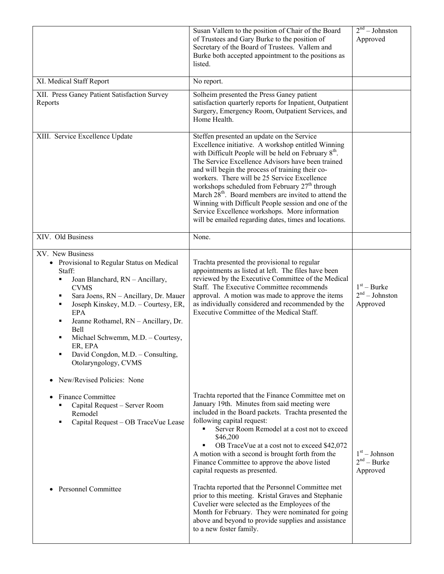|                                                                                                                                                                                                                                                                                                                                                                                                                                                          | Susan Vallem to the position of Chair of the Board<br>of Trustees and Gary Burke to the position of<br>Secretary of the Board of Trustees. Vallem and<br>Burke both accepted appointment to the positions as<br>listed.                                                                                                                                                                                                                                                                                                                                                                                                                                                                                                                                           | 2 <sup>nd</sup> – Johnston<br>Approved        |
|----------------------------------------------------------------------------------------------------------------------------------------------------------------------------------------------------------------------------------------------------------------------------------------------------------------------------------------------------------------------------------------------------------------------------------------------------------|-------------------------------------------------------------------------------------------------------------------------------------------------------------------------------------------------------------------------------------------------------------------------------------------------------------------------------------------------------------------------------------------------------------------------------------------------------------------------------------------------------------------------------------------------------------------------------------------------------------------------------------------------------------------------------------------------------------------------------------------------------------------|-----------------------------------------------|
| XI. Medical Staff Report                                                                                                                                                                                                                                                                                                                                                                                                                                 | No report.                                                                                                                                                                                                                                                                                                                                                                                                                                                                                                                                                                                                                                                                                                                                                        |                                               |
| XII. Press Ganey Patient Satisfaction Survey<br>Reports                                                                                                                                                                                                                                                                                                                                                                                                  | Solheim presented the Press Ganey patient<br>satisfaction quarterly reports for Inpatient, Outpatient<br>Surgery, Emergency Room, Outpatient Services, and<br>Home Health.                                                                                                                                                                                                                                                                                                                                                                                                                                                                                                                                                                                        |                                               |
| XIII. Service Excellence Update                                                                                                                                                                                                                                                                                                                                                                                                                          | Steffen presented an update on the Service<br>Excellence initiative. A workshop entitled Winning<br>with Difficult People will be held on February 8 <sup>th</sup> .<br>The Service Excellence Advisors have been trained<br>and will begin the process of training their co-<br>workers. There will be 25 Service Excellence<br>workshops scheduled from February $27th$ through<br>March 28 <sup>th</sup> . Board members are invited to attend the<br>Winning with Difficult People session and one of the<br>Service Excellence workshops. More information<br>will be emailed regarding dates, times and locations.                                                                                                                                          |                                               |
| XIV. Old Business                                                                                                                                                                                                                                                                                                                                                                                                                                        | None.                                                                                                                                                                                                                                                                                                                                                                                                                                                                                                                                                                                                                                                                                                                                                             |                                               |
| XV. New Business<br>• Provisional to Regular Status on Medical<br>Staff:<br>Joan Blanchard, RN - Ancillary,<br>٠<br><b>CVMS</b><br>Sara Joens, RN - Ancillary, Dr. Mauer<br>٠<br>Joseph Kinskey, M.D. - Courtesy, ER,<br>٠<br>EPA<br>Jeanne Rothamel, RN - Ancillary, Dr.<br>٠<br>Bell<br>Michael Schwemm, M.D. - Courtesy,<br>٠<br>ER, EPA<br>David Congdon, M.D. - Consulting,<br>٠<br>Otolaryngology, CVMS<br>New/Revised Policies: None<br>$\bullet$ | Trachta presented the provisional to regular<br>appointments as listed at left. The files have been<br>reviewed by the Executive Committee of the Medical<br>Staff. The Executive Committee recommends<br>approval. A motion was made to approve the items<br>as individually considered and recommended by the<br>Executive Committee of the Medical Staff.                                                                                                                                                                                                                                                                                                                                                                                                      | $1st - Burke$<br>$2nd - Johnston$<br>Approved |
| <b>Finance Committee</b><br>$\bullet$<br>Capital Request - Server Room<br>٠<br>Remodel<br>Capital Request - OB TraceVue Lease<br>٠<br><b>Personnel Committee</b>                                                                                                                                                                                                                                                                                         | Trachta reported that the Finance Committee met on<br>January 19th. Minutes from said meeting were<br>included in the Board packets. Trachta presented the<br>following capital request:<br>Server Room Remodel at a cost not to exceed<br>$\blacksquare$<br>\$46,200<br>OB TraceVue at a cost not to exceed \$42,072<br>A motion with a second is brought forth from the<br>Finance Committee to approve the above listed<br>capital requests as presented.<br>Trachta reported that the Personnel Committee met<br>prior to this meeting. Kristal Graves and Stephanie<br>Cuvelier were selected as the Employees of the<br>Month for February. They were nominated for going<br>above and beyond to provide supplies and assistance<br>to a new foster family. | $1st - Johnson$<br>$2nd - Burke$<br>Approved  |